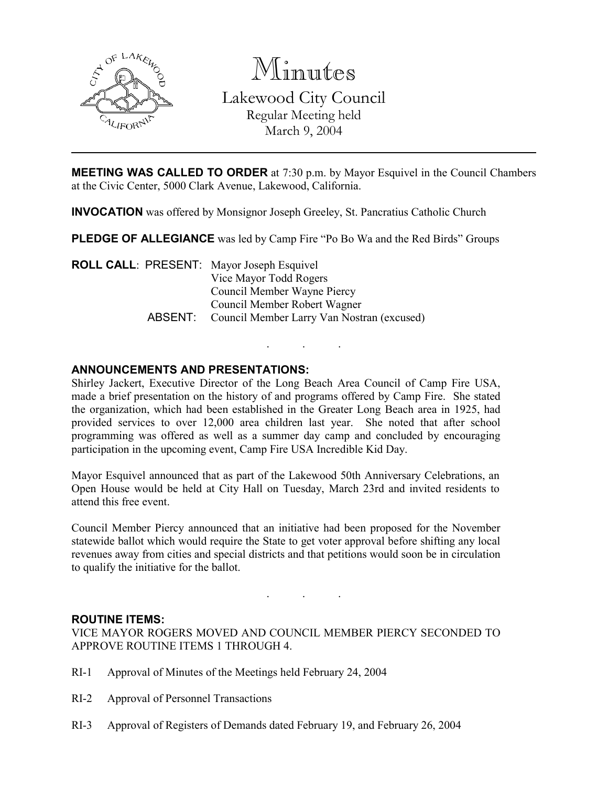

Minutes

Lakewood City Council Regular Meeting held March 9, 2004

**MEETING WAS CALLED TO ORDER** at 7:30 p.m. by Mayor Esquivel in the Council Chambers at the Civic Center, 5000 Clark Avenue, Lakewood, California.

INVOCATION was offered by Monsignor Joseph Greeley, St. Pancratius Catholic Church

PLEDGE OF ALLEGIANCE was led by Camp Fire "Po Bo Wa and the Red Birds" Groups

ROLL CALL: PRESENT: Mayor Joseph Esquivel Vice Mayor Todd Rogers Council Member Wayne Piercy Council Member Robert Wagner ABSENT: Council Member Larry Van Nostran (excused)

### ANNOUNCEMENTS AND PRESENTATIONS:

Shirley Jackert, Executive Director of the Long Beach Area Council of Camp Fire USA, made a brief presentation on the history of and programs offered by Camp Fire. She stated the organization, which had been established in the Greater Long Beach area in 1925, had provided services to over 12,000 area children last year. She noted that after school programming was offered as well as a summer day camp and concluded by encouraging participation in the upcoming event, Camp Fire USA Incredible Kid Day.

. . .

Mayor Esquivel announced that as part of the Lakewood 50th Anniversary Celebrations, an Open House would be held at City Hall on Tuesday, March 23rd and invited residents to attend this free event.

Council Member Piercy announced that an initiative had been proposed for the November statewide ballot which would require the State to get voter approval before shifting any local revenues away from cities and special districts and that petitions would soon be in circulation to qualify the initiative for the ballot.

. . .

#### ROUTINE ITEMS:

VICE MAYOR ROGERS MOVED AND COUNCIL MEMBER PIERCY SECONDED TO APPROVE ROUTINE ITEMS 1 THROUGH 4.

- RI-1 Approval of Minutes of the Meetings held February 24, 2004
- RI-2 Approval of Personnel Transactions
- RI-3 Approval of Registers of Demands dated February 19, and February 26, 2004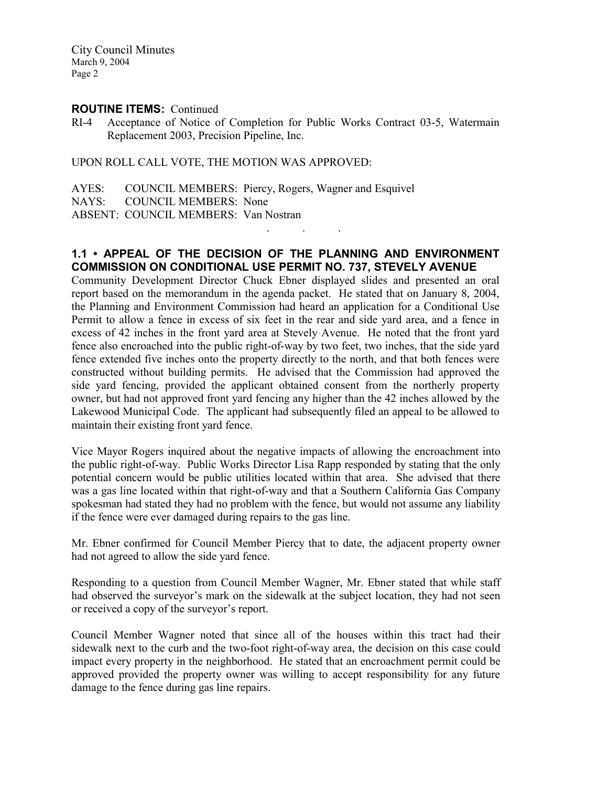#### ROUTINE ITEMS: Continued

RI-4 Acceptance of Notice of Completion for Public Works Contract 03-5, Watermain Replacement 2003, Precision Pipeline, Inc.

UPON ROLL CALL VOTE, THE MOTION WAS APPROVED:

AYES: COUNCIL MEMBERS: Piercy, Rogers, Wagner and Esquivel NAYS: COUNCIL MEMBERS: None ABSENT: COUNCIL MEMBERS: Van Nostran . . .

### 1.1 • APPEAL OF THE DECISION OF THE PLANNING AND ENVIRONMENT COMMISSION ON CONDITIONAL USE PERMIT NO. 737, STEVELY AVENUE

Community Development Director Chuck Ebner displayed slides and presented an oral report based on the memorandum in the agenda packet. He stated that on January 8, 2004, the Planning and Environment Commission had heard an application for a Conditional Use Permit to allow a fence in excess of six feet in the rear and side yard area, and a fence in excess of 42 inches in the front yard area at Stevely Avenue. He noted that the front yard fence also encroached into the public right-of-way by two feet, two inches, that the side yard fence extended five inches onto the property directly to the north, and that both fences were constructed without building permits. He advised that the Commission had approved the side yard fencing, provided the applicant obtained consent from the northerly property owner, but had not approved front yard fencing any higher than the 42 inches allowed by the Lakewood Municipal Code. The applicant had subsequently filed an appeal to be allowed to maintain their existing front yard fence.

Vice Mayor Rogers inquired about the negative impacts of allowing the encroachment into the public right-of-way. Public Works Director Lisa Rapp responded by stating that the only potential concern would be public utilities located within that area. She advised that there was a gas line located within that right-of-way and that a Southern California Gas Company spokesman had stated they had no problem with the fence, but would not assume any liability if the fence were ever damaged during repairs to the gas line.

Mr. Ebner confirmed for Council Member Piercy that to date, the adjacent property owner had not agreed to allow the side yard fence.

Responding to a question from Council Member Wagner, Mr. Ebner stated that while staff had observed the surveyor's mark on the sidewalk at the subject location, they had not seen or received a copy of the surveyor's report.

Council Member Wagner noted that since all of the houses within this tract had their sidewalk next to the curb and the two-foot right-of-way area, the decision on this case could impact every property in the neighborhood. He stated that an encroachment permit could be approved provided the property owner was willing to accept responsibility for any future damage to the fence during gas line repairs.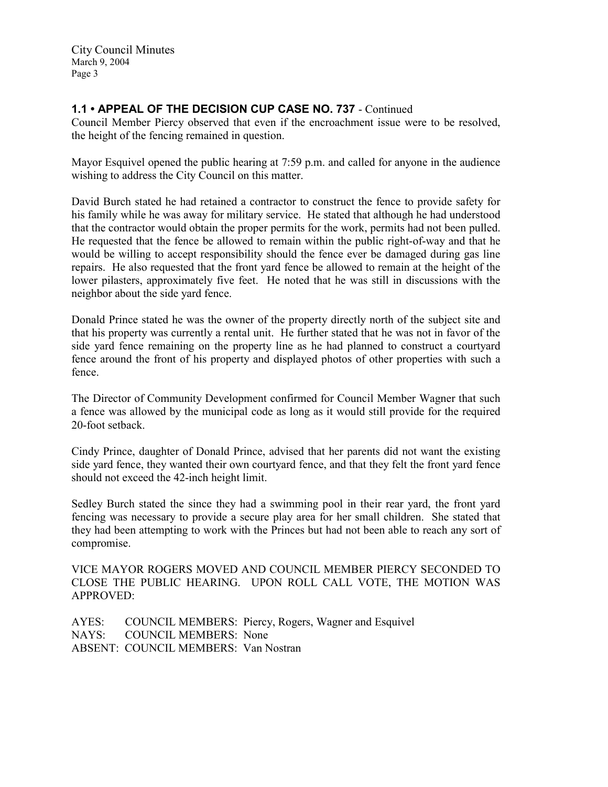## 1.1 • APPEAL OF THE DECISION CUP CASE NO. 737 - Continued

Council Member Piercy observed that even if the encroachment issue were to be resolved, the height of the fencing remained in question.

Mayor Esquivel opened the public hearing at 7:59 p.m. and called for anyone in the audience wishing to address the City Council on this matter.

David Burch stated he had retained a contractor to construct the fence to provide safety for his family while he was away for military service. He stated that although he had understood that the contractor would obtain the proper permits for the work, permits had not been pulled. He requested that the fence be allowed to remain within the public right-of-way and that he would be willing to accept responsibility should the fence ever be damaged during gas line repairs. He also requested that the front yard fence be allowed to remain at the height of the lower pilasters, approximately five feet. He noted that he was still in discussions with the neighbor about the side yard fence.

Donald Prince stated he was the owner of the property directly north of the subject site and that his property was currently a rental unit. He further stated that he was not in favor of the side yard fence remaining on the property line as he had planned to construct a courtyard fence around the front of his property and displayed photos of other properties with such a fence.

The Director of Community Development confirmed for Council Member Wagner that such a fence was allowed by the municipal code as long as it would still provide for the required 20-foot setback.

Cindy Prince, daughter of Donald Prince, advised that her parents did not want the existing side yard fence, they wanted their own courtyard fence, and that they felt the front yard fence should not exceed the 42-inch height limit.

Sedley Burch stated the since they had a swimming pool in their rear yard, the front yard fencing was necessary to provide a secure play area for her small children. She stated that they had been attempting to work with the Princes but had not been able to reach any sort of compromise.

VICE MAYOR ROGERS MOVED AND COUNCIL MEMBER PIERCY SECONDED TO CLOSE THE PUBLIC HEARING. UPON ROLL CALL VOTE, THE MOTION WAS APPROVED:

AYES: COUNCIL MEMBERS: Piercy, Rogers, Wagner and Esquivel NAYS: COUNCIL MEMBERS: None ABSENT: COUNCIL MEMBERS: Van Nostran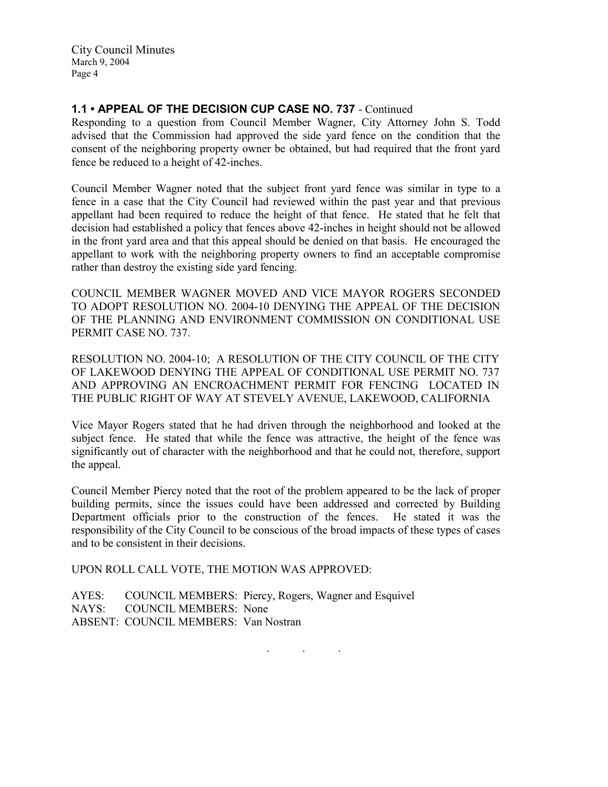## 1.1 • APPEAL OF THE DECISION CUP CASE NO. 737 - Continued

Responding to a question from Council Member Wagner, City Attorney John S. Todd advised that the Commission had approved the side yard fence on the condition that the consent of the neighboring property owner be obtained, but had required that the front yard fence be reduced to a height of 42-inches.

Council Member Wagner noted that the subject front yard fence was similar in type to a fence in a case that the City Council had reviewed within the past year and that previous appellant had been required to reduce the height of that fence. He stated that he felt that decision had established a policy that fences above 42-inches in height should not be allowed in the front yard area and that this appeal should be denied on that basis. He encouraged the appellant to work with the neighboring property owners to find an acceptable compromise rather than destroy the existing side yard fencing.

COUNCIL MEMBER WAGNER MOVED AND VICE MAYOR ROGERS SECONDED TO ADOPT RESOLUTION NO. 2004-10 DENYING THE APPEAL OF THE DECISION OF THE PLANNING AND ENVIRONMENT COMMISSION ON CONDITIONAL USE PERMIT CASE NO. 737.

RESOLUTION NO. 2004-10; A RESOLUTION OF THE CITY COUNCIL OF THE CITY OF LAKEWOOD DENYING THE APPEAL OF CONDITIONAL USE PERMIT NO. 737 AND APPROVING AN ENCROACHMENT PERMIT FOR FENCING LOCATED IN THE PUBLIC RIGHT OF WAY AT STEVELY AVENUE, LAKEWOOD, CALIFORNIA

Vice Mayor Rogers stated that he had driven through the neighborhood and looked at the subject fence. He stated that while the fence was attractive, the height of the fence was significantly out of character with the neighborhood and that he could not, therefore, support the appeal.

Council Member Piercy noted that the root of the problem appeared to be the lack of proper building permits, since the issues could have been addressed and corrected by Building Department officials prior to the construction of the fences. He stated it was the responsibility of the City Council to be conscious of the broad impacts of these types of cases and to be consistent in their decisions.

UPON ROLL CALL VOTE, THE MOTION WAS APPROVED:

AYES: COUNCIL MEMBERS: Piercy, Rogers, Wagner and Esquivel NAYS: COUNCIL MEMBERS: None ABSENT: COUNCIL MEMBERS: Van Nostran

. . .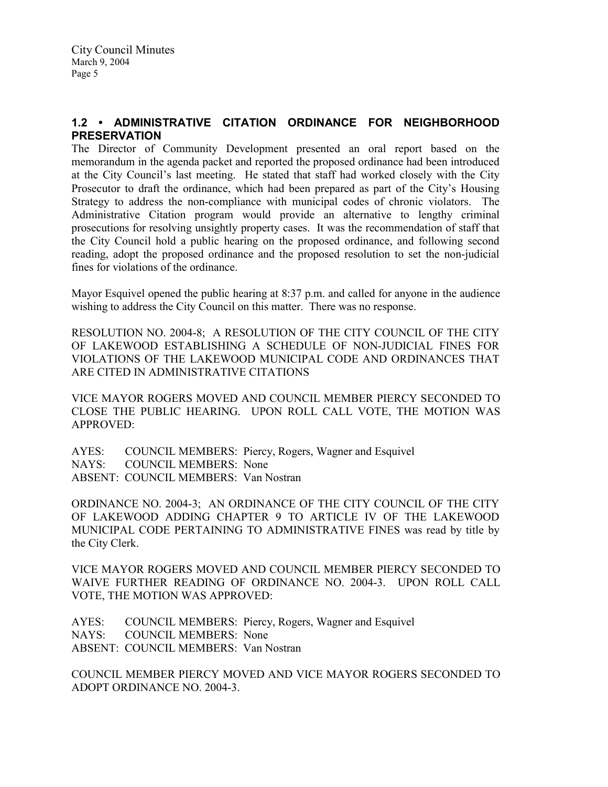### 1.2 • ADMINISTRATIVE CITATION ORDINANCE FOR NEIGHBORHOOD **PRESERVATION**

The Director of Community Development presented an oral report based on the memorandum in the agenda packet and reported the proposed ordinance had been introduced at the City Council's last meeting. He stated that staff had worked closely with the City Prosecutor to draft the ordinance, which had been prepared as part of the City's Housing Strategy to address the non-compliance with municipal codes of chronic violators. The Administrative Citation program would provide an alternative to lengthy criminal prosecutions for resolving unsightly property cases. It was the recommendation of staff that the City Council hold a public hearing on the proposed ordinance, and following second reading, adopt the proposed ordinance and the proposed resolution to set the non-judicial fines for violations of the ordinance.

Mayor Esquivel opened the public hearing at 8:37 p.m. and called for anyone in the audience wishing to address the City Council on this matter. There was no response.

RESOLUTION NO. 2004-8; A RESOLUTION OF THE CITY COUNCIL OF THE CITY OF LAKEWOOD ESTABLISHING A SCHEDULE OF NON-JUDICIAL FINES FOR VIOLATIONS OF THE LAKEWOOD MUNICIPAL CODE AND ORDINANCES THAT ARE CITED IN ADMINISTRATIVE CITATIONS

VICE MAYOR ROGERS MOVED AND COUNCIL MEMBER PIERCY SECONDED TO CLOSE THE PUBLIC HEARING. UPON ROLL CALL VOTE, THE MOTION WAS APPROVED:

AYES: COUNCIL MEMBERS: Piercy, Rogers, Wagner and Esquivel NAYS: COUNCIL MEMBERS: None ABSENT: COUNCIL MEMBERS: Van Nostran

ORDINANCE NO. 2004-3; AN ORDINANCE OF THE CITY COUNCIL OF THE CITY OF LAKEWOOD ADDING CHAPTER 9 TO ARTICLE IV OF THE LAKEWOOD MUNICIPAL CODE PERTAINING TO ADMINISTRATIVE FINES was read by title by the City Clerk.

VICE MAYOR ROGERS MOVED AND COUNCIL MEMBER PIERCY SECONDED TO WAIVE FURTHER READING OF ORDINANCE NO. 2004-3. UPON ROLL CALL VOTE, THE MOTION WAS APPROVED:

AYES: COUNCIL MEMBERS: Piercy, Rogers, Wagner and Esquivel NAYS: COUNCIL MEMBERS: None COUNCIL MEMBERS: None ABSENT: COUNCIL MEMBERS: Van Nostran

COUNCIL MEMBER PIERCY MOVED AND VICE MAYOR ROGERS SECONDED TO ADOPT ORDINANCE NO. 2004-3.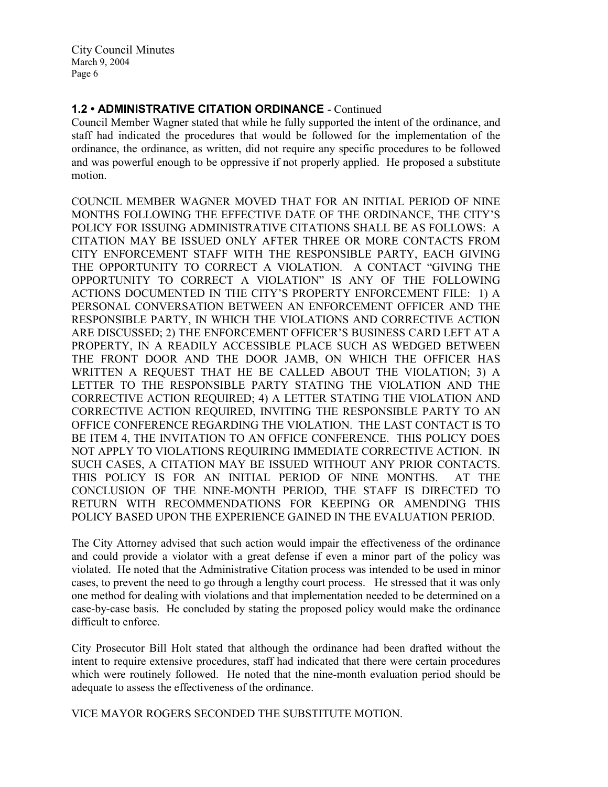## 1.2 • ADMINISTRATIVE CITATION ORDINANCE - Continued

Council Member Wagner stated that while he fully supported the intent of the ordinance, and staff had indicated the procedures that would be followed for the implementation of the ordinance, the ordinance, as written, did not require any specific procedures to be followed and was powerful enough to be oppressive if not properly applied. He proposed a substitute motion.

COUNCIL MEMBER WAGNER MOVED THAT FOR AN INITIAL PERIOD OF NINE MONTHS FOLLOWING THE EFFECTIVE DATE OF THE ORDINANCE, THE CITY'S POLICY FOR ISSUING ADMINISTRATIVE CITATIONS SHALL BE AS FOLLOWS: A CITATION MAY BE ISSUED ONLY AFTER THREE OR MORE CONTACTS FROM CITY ENFORCEMENT STAFF WITH THE RESPONSIBLE PARTY, EACH GIVING THE OPPORTUNITY TO CORRECT A VIOLATION. A CONTACT "GIVING THE OPPORTUNITY TO CORRECT A VIOLATION" IS ANY OF THE FOLLOWING ACTIONS DOCUMENTED IN THE CITY'S PROPERTY ENFORCEMENT FILE: 1) A PERSONAL CONVERSATION BETWEEN AN ENFORCEMENT OFFICER AND THE RESPONSIBLE PARTY, IN WHICH THE VIOLATIONS AND CORRECTIVE ACTION ARE DISCUSSED; 2) THE ENFORCEMENT OFFICER'S BUSINESS CARD LEFT AT A PROPERTY, IN A READILY ACCESSIBLE PLACE SUCH AS WEDGED BETWEEN THE FRONT DOOR AND THE DOOR JAMB, ON WHICH THE OFFICER HAS WRITTEN A REQUEST THAT HE BE CALLED ABOUT THE VIOLATION; 3) A LETTER TO THE RESPONSIBLE PARTY STATING THE VIOLATION AND THE CORRECTIVE ACTION REQUIRED; 4) A LETTER STATING THE VIOLATION AND CORRECTIVE ACTION REQUIRED, INVITING THE RESPONSIBLE PARTY TO AN OFFICE CONFERENCE REGARDING THE VIOLATION. THE LAST CONTACT IS TO BE ITEM 4, THE INVITATION TO AN OFFICE CONFERENCE. THIS POLICY DOES NOT APPLY TO VIOLATIONS REQUIRING IMMEDIATE CORRECTIVE ACTION. IN SUCH CASES, A CITATION MAY BE ISSUED WITHOUT ANY PRIOR CONTACTS. THIS POLICY IS FOR AN INITIAL PERIOD OF NINE MONTHS. AT THE CONCLUSION OF THE NINE-MONTH PERIOD, THE STAFF IS DIRECTED TO RETURN WITH RECOMMENDATIONS FOR KEEPING OR AMENDING THIS POLICY BASED UPON THE EXPERIENCE GAINED IN THE EVALUATION PERIOD.

The City Attorney advised that such action would impair the effectiveness of the ordinance and could provide a violator with a great defense if even a minor part of the policy was violated. He noted that the Administrative Citation process was intended to be used in minor cases, to prevent the need to go through a lengthy court process. He stressed that it was only one method for dealing with violations and that implementation needed to be determined on a case-by-case basis. He concluded by stating the proposed policy would make the ordinance difficult to enforce.

City Prosecutor Bill Holt stated that although the ordinance had been drafted without the intent to require extensive procedures, staff had indicated that there were certain procedures which were routinely followed. He noted that the nine-month evaluation period should be adequate to assess the effectiveness of the ordinance.

VICE MAYOR ROGERS SECONDED THE SUBSTITUTE MOTION.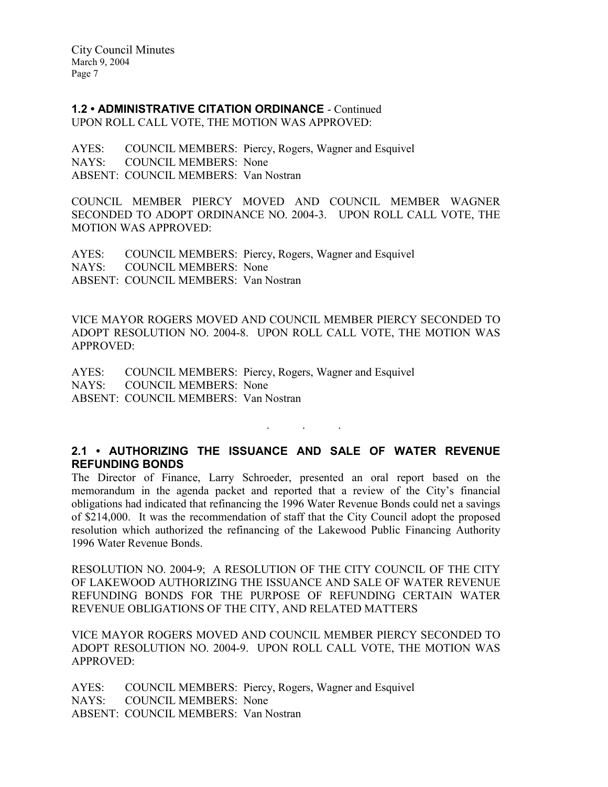1.2 • ADMINISTRATIVE CITATION ORDINANCE - Continued

UPON ROLL CALL VOTE, THE MOTION WAS APPROVED:

AYES: COUNCIL MEMBERS: Piercy, Rogers, Wagner and Esquivel NAYS: COUNCIL MEMBERS: None ABSENT: COUNCIL MEMBERS: Van Nostran

COUNCIL MEMBER PIERCY MOVED AND COUNCIL MEMBER WAGNER SECONDED TO ADOPT ORDINANCE NO. 2004-3. UPON ROLL CALL VOTE, THE MOTION WAS APPROVED:

AYES: COUNCIL MEMBERS: Piercy, Rogers, Wagner and Esquivel NAYS: COUNCIL MEMBERS: None ABSENT: COUNCIL MEMBERS: Van Nostran

VICE MAYOR ROGERS MOVED AND COUNCIL MEMBER PIERCY SECONDED TO ADOPT RESOLUTION NO. 2004-8. UPON ROLL CALL VOTE, THE MOTION WAS APPROVED:

AYES: COUNCIL MEMBERS: Piercy, Rogers, Wagner and Esquivel NAYS: COUNCIL MEMBERS: None ABSENT: COUNCIL MEMBERS: Van Nostran

## 2.1 • AUTHORIZING THE ISSUANCE AND SALE OF WATER REVENUE REFUNDING BONDS

. . .

The Director of Finance, Larry Schroeder, presented an oral report based on the memorandum in the agenda packet and reported that a review of the City's financial obligations had indicated that refinancing the 1996 Water Revenue Bonds could net a savings of \$214,000. It was the recommendation of staff that the City Council adopt the proposed resolution which authorized the refinancing of the Lakewood Public Financing Authority 1996 Water Revenue Bonds.

RESOLUTION NO. 2004-9; A RESOLUTION OF THE CITY COUNCIL OF THE CITY OF LAKEWOOD AUTHORIZING THE ISSUANCE AND SALE OF WATER REVENUE REFUNDING BONDS FOR THE PURPOSE OF REFUNDING CERTAIN WATER REVENUE OBLIGATIONS OF THE CITY, AND RELATED MATTERS

VICE MAYOR ROGERS MOVED AND COUNCIL MEMBER PIERCY SECONDED TO ADOPT RESOLUTION NO. 2004-9. UPON ROLL CALL VOTE, THE MOTION WAS APPROVED:

AYES: COUNCIL MEMBERS: Piercy, Rogers, Wagner and Esquivel NAYS: COUNCIL MEMBERS: None ABSENT: COUNCIL MEMBERS: Van Nostran